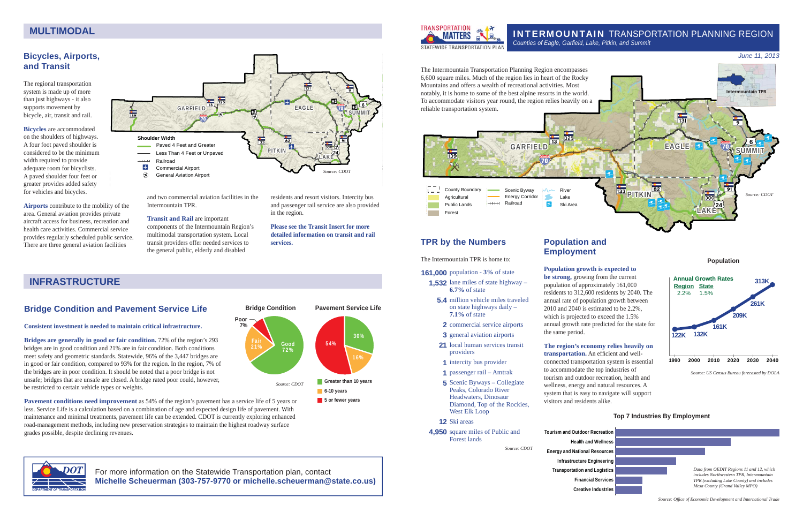**Population**

*Source: US Census Bureau forecasted by DOLA*

## **Bicycles, Airports, and Transit**

The regional transportation system is made up of more than just highways - it also supports movement by bicycle, air, transit and rail.

**Bicycles** are accommodated on the shoulders of highways. A four foot paved shoulder is considered to be the minimum width required to provide adequate room for bicyclists. A paved shoulder four feet or greater provides added safety for vehicles and bicycles.

**Airports** contribute to the mobility of the area. General aviation provides private aircraft access for business, recreation and health care activities. Commercial service provides regularly scheduled public service. There are three general aviation facilities

and two commercial aviation facilities in the Intermountain TPR.

**Bridges are generally in good or fair condition.** 72% of the region's 293 bridges are in good condition and 21% are in fair condition. Both conditions meet safety and geometric standards. Statewide, 96% of the 3,447 bridges are in good or fair condition, compared to 93% for the region. In the region, 7% of the bridges are in poor condition. It should be noted that a poor bridge is not unsafe; bridges that are unsafe are closed. A bridge rated poor could, however, be restricted to certain vehicle types or weights.

#### **Transit and Rail** are important

components of the Intermountain Region's multimodal transportation system. Local transit providers offer needed services to the general public, elderly and disabled

**Pavement conditions need improvement** as 54% of the region's pavement has a service life of 5 years or less. Service Life is a calculation based on a combination of age and expected design life of pavement. With maintenance and minimal treatments, pavement life can be extended. CDOT is currently exploring enhanced road-management methods, including new preservation strategies to maintain the highest roadway surface grades possible, despite declining revenues.

residents and resort visitors. Intercity bus and passenger rail service are also provided in the region.





**Please see the Transit Insert for more detailed information on transit and rail services.** 

## **Bridge Condition and Pavement Service Life**

#### **Consistent investment is needed to maintain critical infrastructure.**

transportation. An efficient and wellconnected transportation system is essential to accommodate the top industries of tourism and outdoor recreation, health and wellness, energy and natural resources. A system that is easy to navigate will support visitors and residents alike.

## INTERMOUNTAIN TRANSPORTATION PLANNING REGION





## **TPR by the Numbers**

The Intermountain TPR is home to:

#### **161,000** population - **3%** of state

- **1.532** lane miles of state highway **6.7%** of state
	- **5.4** million vehicle miles traveled on state highways daily – **7.1%** of state
	- **2** commercial service airports
	- **3** general aviation airports
	- 21 local human services transit providers
	- **1** intercity bus provider
	- **1** passenger rail Amtrak
	- **5** Scenic Byways Collegiate Peaks, Colorado River Headwaters, Dinosaur Diamond, Top of the Rockies, West Elk Loop

 **12** Ski areas

 **4,950** square miles of Public and Forest lands

*Source: CDOT*

## **MULTIMODAL**

*June 11, 2013* 

### **Population and Employment**

#### **Population growth is expected to**

**be strong,** growing from the current population of approximately 161,000 residents to 312,600 residents by 2040. The annual rate of population growth between 2010 and 2040 is estimated to be 2.2%, which is projected to exceed the 1.5% annual growth rate predicted for the state for

the same period.



#### **The region's economy relies heavily on**

#### **Top 7 Industries By Employment**

**Energy and National Resources Infrastructure Engineering Transportation and Logistics**

*Source: Offi ce of Economic Development and International Trade*

For more information on the Statewide Transportation plan, contact **Michelle Scheuerman (303-757-9770 or michelle.scheuerman@state.co.us)**



## **INFRASTRUCTURE**